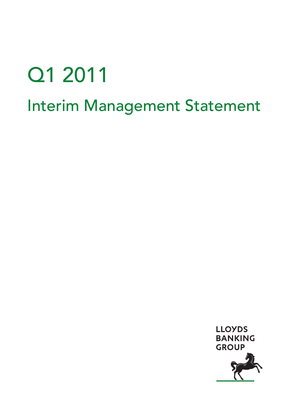# Q1 2011 Interim Management Statement

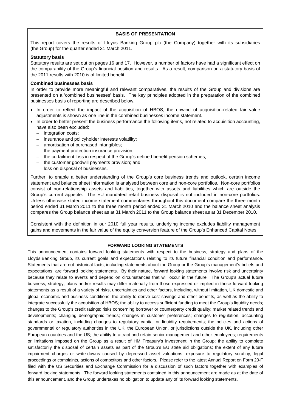#### **BASIS OF PRESENTATION**

This report covers the results of Lloyds Banking Group plc (the Company) together with its subsidiaries (the Group) for the quarter ended 31 March 2011.

#### **Statutory basis**

Statutory results are set out on pages 16 and 17. However, a number of factors have had a significant effect on the comparability of the Group's financial position and results. As a result, comparison on a statutory basis of the 2011 results with 2010 is of limited benefit.

#### **Combined businesses basis**

In order to provide more meaningful and relevant comparatives, the results of the Group and divisions are presented on a 'combined businesses' basis. The key principles adopted in the preparation of the combined businesses basis of reporting are described below.

- In order to reflect the impact of the acquisition of HBOS, the unwind of acquisition-related fair value adjustments is shown as one line in the combined businesses income statement.
- In order to better present the business performance the following items, not related to acquisition accounting, have also been excluded:
	- integration costs;
	- insurance and policyholder interests volatility;
	- amortisation of purchased intangibles;
	- the payment protection insurance provision;
	- the curtailment loss in respect of the Group's defined benefit pension schemes;
	- the customer goodwill payments provision; and
	- loss on disposal of businesses.

Further, to enable a better understanding of the Group's core business trends and outlook, certain income statement and balance sheet information is analysed between core and non-core portfolios. Non-core portfolios consist of non-relationship assets and liabilities, together with assets and liabilities which are outside the Group's current appetite. The EU mandated retail business disposal is not included in non-core portfolios. Unless otherwise stated income statement commentaries throughout this document compare the three month period ended 31 March 2011 to the three month period ended 31 March 2010 and the balance sheet analysis compares the Group balance sheet as at 31 March 2011 to the Group balance sheet as at 31 December 2010.

Consistent with the definition in our 2010 full year results, underlying income excludes liability management gains and movements in the fair value of the equity conversion feature of the Group's Enhanced Capital Notes.

#### **FORWARD LOOKING STATEMENTS**

This announcement contains forward looking statements with respect to the business, strategy and plans of the Lloyds Banking Group, its current goals and expectations relating to its future financial condition and performance. Statements that are not historical facts, including statements about the Group or the Group's management's beliefs and expectations, are forward looking statements. By their nature, forward looking statements involve risk and uncertainty because they relate to events and depend on circumstances that will occur in the future. The Group's actual future business, strategy, plans and/or results may differ materially from those expressed or implied in these forward looking statements as a result of a variety of risks, uncertainties and other factors, including, without limitation, UK domestic and global economic and business conditions; the ability to derive cost savings and other benefits, as well as the ability to integrate successfully the acquisition of HBOS; the ability to access sufficient funding to meet the Group's liquidity needs; changes to the Group's credit ratings; risks concerning borrower or counterparty credit quality; market related trends and developments; changing demographic trends; changes in customer preferences; changes to regulation, accounting standards or taxation, including changes to regulatory capital or liquidity requirements; the policies and actions of governmental or regulatory authorities in the UK, the European Union, or jurisdictions outside the UK, including other European countries and the US; the ability to attract and retain senior management and other employees; requirements or limitations imposed on the Group as a result of HM Treasury's investment in the Group; the ability to complete satisfactorily the disposal of certain assets as part of the Group's EU state aid obligations; the extent of any future impairment charges or write-downs caused by depressed asset valuations; exposure to regulatory scrutiny, legal proceedings or complaints, actions of competitors and other factors. Please refer to the latest Annual Report on Form 20-F filed with the US Securities and Exchange Commission for a discussion of such factors together with examples of forward looking statements. The forward looking statements contained in this announcement are made as at the date of this announcement, and the Group undertakes no obligation to update any of its forward looking statements.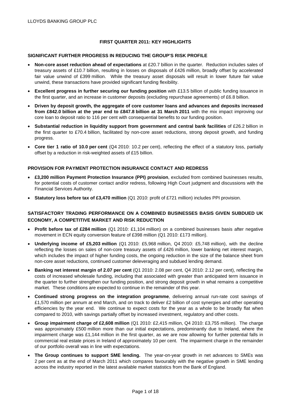# **FIRST QUARTER 2011: KEY HIGHLIGHTS**

#### **SIGNIFICANT FURTHER PROGRESS IN REDUCING THE GROUP'S RISK PROFILE**

- **Non-core asset reduction ahead of expectations** at £20.7 billion in the quarter. Reduction includes sales of treasury assets of £10.7 billion, resulting in losses on disposals of £426 million, broadly offset by accelerated fair value unwind of £399 million. While the treasury asset disposals will result in lower future fair value unwind, these transactions have provided significant funding flexibility.
- **Excellent progress in further securing our funding position** with £13.5 billion of public funding issuance in the first quarter, and an increase in customer deposits (excluding repurchase agreements) of £6.8 billion.
- **Driven by deposit growth, the aggregate of core customer loans and advances and deposits increased from £842.0 billion at the year end to £847.8 billion at 31 March 2011** with the mix impact improving our core loan to deposit ratio to 116 per cent with consequential benefits to our funding position.
- **Substantial reduction in liquidity support from government and central bank facilities** of £26.2 billion in the first quarter to £70.4 billion, facilitated by non-core asset reductions, strong deposit growth, and funding progress.
- **Core tier 1 ratio of 10.0 per cent** (Q4 2010: 10.2 per cent), reflecting the effect of a statutory loss, partially offset by a reduction in risk-weighted assets of £15 billion.

#### **PROVISION FOR PAYMENT PROTECTION INSURANCE CONTACT AND REDRESS**

- **£3,200 million Payment Protection Insurance (PPI) provision**, excluded from combined businesses results, for potential costs of customer contact and/or redress, following High Court judgment and discussions with the Financial Services Authority.
- **Statutory loss before tax of £3,470 million** (Q1 2010: profit of £721 million) includes PPI provision.

# **SATISFACTORY TRADING PERFORMANCE ON A COMBINED BUSINESSES BASIS GIVEN SUBDUED UK ECONOMY, A COMPETITIVE MARKET AND RISK REDUCTION**

- **Profit before tax of £284 million** (Q1 2010: £1,104 million) on a combined businesses basis after negative movement in ECN equity conversion feature of £398 million (Q1 2010: £173 million).
- **Underlying income of £5,203 million** (Q1 2010: £5,968 million, Q4 2010: £5,748 million), with the decline reflecting the losses on sales of non-core treasury assets of £426 million, lower banking net interest margin, which includes the impact of higher funding costs, the ongoing reduction in the size of the balance sheet from non-core asset reductions, continued customer deleveraging and subdued lending demand.
- **Banking net interest margin of 2.07 per cent** (Q1 2010: 2.08 per cent, Q4 2010: 2.12 per cent), reflecting the costs of increased wholesale funding, including that associated with greater than anticipated term issuance in the quarter to further strengthen our funding position, and strong deposit growth in what remains a competitive market. These conditions are expected to continue in the remainder of this year.
- **Continued strong progress on the integration programme**, delivering annual run-rate cost savings of £1,570 million per annum at end March, and on track to deliver £2 billion of cost synergies and other operating efficiencies by the year end. We continue to expect costs for the year as a whole to be broadly flat when compared to 2010, with savings partially offset by increased investment, regulatory and other costs.
- **Group impairment charge of £2,608 million** (Q1 2010: £2,415 million, Q4 2010: £3,755 million). The charge was approximately £500 million more than our initial expectations, predominantly due to Ireland, where the impairment charge was £1,144 million in the first quarter, as we are now allowing for further potential falls in commercial real estate prices in Ireland of approximately 10 per cent. The impairment charge in the remainder of our portfolio overall was in line with expectations.
- **The Group continues to support SME lending.** The year-on-year growth in net advances to SMEs was 2 per cent as at the end of March 2011 which compares favourably with the negative growth in SME lending across the industry reported in the latest available market statistics from the Bank of England.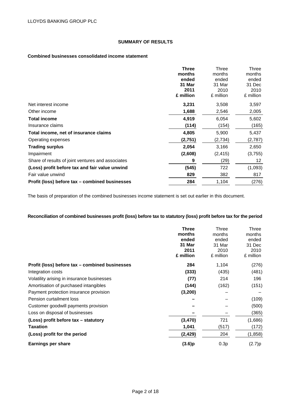# **SUMMARY OF RESULTS**

## **Combined businesses consolidated income statement**

|                                                   | <b>Three</b> | Three     | Three     |
|---------------------------------------------------|--------------|-----------|-----------|
|                                                   | months       | months    | months    |
|                                                   | ended        | ended     | ended     |
|                                                   | 31 Mar       | 31 Mar    | 31 Dec    |
|                                                   | 2011         | 2010      | 2010      |
|                                                   | £ million    | £ million | £ million |
| Net interest income                               | 3,231        | 3,508     | 3,597     |
| Other income                                      | 1,688        | 2,546     | 2,005     |
| <b>Total income</b>                               | 4,919        | 6,054     | 5,602     |
| Insurance claims                                  | (114)        | (154)     | (165)     |
| Total income, net of insurance claims             | 4,805        | 5,900     | 5,437     |
| Operating expenses                                | (2,751)      | (2,734)   | (2,787)   |
| <b>Trading surplus</b>                            | 2,054        | 3,166     | 2,650     |
| Impairment                                        | (2,608)      | (2, 415)  | (3,755)   |
| Share of results of joint ventures and associates | 9            | (29)      | 12        |
| (Loss) profit before tax and fair value unwind    | (545)        | 722       | (1,093)   |
| Fair value unwind                                 | 829          | 382       | 817       |
| Profit (loss) before tax – combined businesses    | 284          | 1,104     | (276)     |

The basis of preparation of the combined businesses income statement is set out earlier in this document.

# **Reconciliation of combined businesses profit (loss) before tax to statutory (loss) profit before tax for the period**

|                                                | <b>Three</b> | Three     | Three     |
|------------------------------------------------|--------------|-----------|-----------|
|                                                | months       | months    | months    |
|                                                | ended        | ended     | ended     |
|                                                | 31 Mar       | 31 Mar    | 31 Dec    |
|                                                | 2011         | 2010      | 2010      |
|                                                | £ million    | £ million | £ million |
| Profit (loss) before tax – combined businesses | 284          | 1,104     | (276)     |
| Integration costs                              | (333)        | (435)     | (481)     |
| Volatility arising in insurance businesses     | (77)         | 214       | 196       |
| Amortisation of purchased intangibles          | (144)        | (162)     | (151)     |
| Payment protection insurance provision         | (3,200)      |           |           |
| Pension curtailment loss                       |              |           | (109)     |
| Customer goodwill payments provision           |              |           | (500)     |
| Loss on disposal of businesses                 |              |           | (365)     |
| (Loss) profit before tax – statutory           | (3,470)      | 721       | (1,686)   |
| Taxation                                       | 1,041        | (517)     | (172)     |
| (Loss) profit for the period                   | (2, 429)     | 204       | (1,858)   |
| Earnings per share                             | (3.6)p       | 0.3p      | (2.7)p    |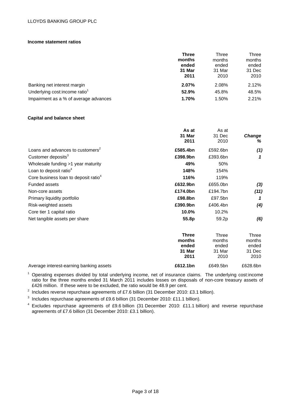# LLOYDS BANKING GROUP PLC

#### **Income statement ratios**

|                                            | <b>Three</b><br>months<br>ended<br>31 Mar<br>2011 | Three<br>months<br>ended<br>31 Mar<br>2010 | Three<br>months<br>ended<br>31 Dec<br>2010 |
|--------------------------------------------|---------------------------------------------------|--------------------------------------------|--------------------------------------------|
| Banking net interest margin                | 2.07%                                             | 2.08%                                      | 2.12%                                      |
| Underlying cost: income ratio <sup>1</sup> | 52.9%                                             | 45.8%                                      | 48.5%                                      |
| Impairment as a % of average advances      | 1.70%                                             | 1.50%                                      | 2.21%                                      |

#### **Capital and balance sheet**

|                                                  | As at    | As at    |               |
|--------------------------------------------------|----------|----------|---------------|
|                                                  | 31 Mar   | 31 Dec   | <b>Change</b> |
|                                                  | 2011     | 2010     | %             |
| Loans and advances to customers <sup>2</sup>     | £585.4bn | £592.6bn | (1)           |
| Customer deposits <sup>3</sup>                   | £398.9bn | £393.6bn | 1             |
| Wholesale funding >1 year maturity               | 49%      | 50%      |               |
| Loan to deposit ratio $4$                        | 148%     | 154%     |               |
| Core business loan to deposit ratio <sup>4</sup> | 116%     | 119%     |               |
| <b>Funded assets</b>                             | £632.9bn | £655.0bn | (3)           |
| Non-core assets                                  | £174.0bn | £194.7bn | (11)          |
| Primary liquidity portfolio                      | £98.8bn  | £97.5bn  | 1             |
| Risk-weighted assets                             | £390.9bn | £406.4bn | (4)           |
| Core tier 1 capital ratio                        | 10.0%    | 10.2%    |               |
| Net tangible assets per share                    | 55.8p    | 59.2p    | (6)           |
|                                                  |          |          |               |

|                                         | <b>Three</b> | Three    | Three    |
|-----------------------------------------|--------------|----------|----------|
|                                         | months       | months   | months   |
|                                         | ended        | ended    | ended    |
|                                         | 31 Mar       | 31 Mar   | 31 Dec   |
|                                         | 2011         | 2010     | 2010     |
| Average interest-earning banking assets | £612.1bn     | £649.5bn | £628.6bn |

 $1$  Operating expenses divided by total underlying income, net of insurance claims. The underlying cost:income ratio for the three months ended 31 March 2011 includes losses on disposals of non-core treasury assets of £426 million. If these were to be excluded, the ratio would be 48.9 per cent.

<sup>2</sup> Includes reverse repurchase agreements of £7.6 billion (31 December 2010: £3.1 billion).

3 Includes repurchase agreements of £9.6 billion (31 December 2010: £11.1 billion).

4 Excludes repurchase agreements of £9.6 billion (31 December 2010: £11.1 billion) and reverse repurchase agreements of £7.6 billion (31 December 2010: £3.1 billion).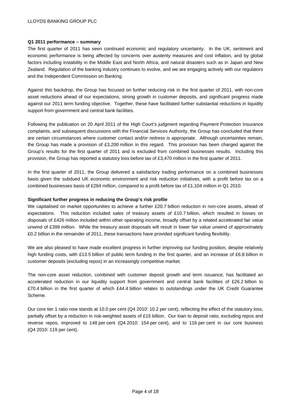## **Q1 2011 performance – summary**

The first quarter of 2011 has seen continued economic and regulatory uncertainty. In the UK, sentiment and economic performance is being affected by concerns over austerity measures and cost inflation, and by global factors including instability in the Middle East and North Africa, and natural disasters such as in Japan and New Zealand. Regulation of the banking industry continues to evolve, and we are engaging actively with our regulators and the Independent Commission on Banking.

Against this backdrop, the Group has focused on further reducing risk in the first quarter of 2011, with non-core asset reductions ahead of our expectations, strong growth in customer deposits, and significant progress made against our 2011 term funding objective. Together, these have facilitated further substantial reductions in liquidity support from government and central bank facilities.

Following the publication on 20 April 2011 of the High Court's judgment regarding Payment Protection Insurance complaints, and subsequent discussions with the Financial Services Authority, the Group has concluded that there are certain circumstances where customer contact and/or redress is appropriate. Although uncertainties remain, the Group has made a provision of £3,200 million in this regard. This provision has been charged against the Group's results for the first quarter of 2011 and is excluded from combined businesses results. Including this provision, the Group has reported a statutory loss before tax of £3,470 million in the first quarter of 2011.

In the first quarter of 2011, the Group delivered a satisfactory trading performance on a combined businesses basis given the subdued UK economic environment and risk reduction initiatives, with a profit before tax on a combined businesses basis of £284 million, compared to a profit before tax of £1,104 million in Q1 2010.

# **Significant further progress in reducing the Group's risk profile**

We capitalised on market opportunities to achieve a further £20.7 billion reduction in non-core assets, ahead of expectations. This reduction included sales of treasury assets of £10.7 billion, which resulted in losses on disposals of £426 million included within other operating income, broadly offset by a related accelerated fair value unwind of £399 million. While the treasury asset disposals will result in lower fair value unwind of approximately £0.2 billion in the remainder of 2011, these transactions have provided significant funding flexibility.

We are also pleased to have made excellent progress in further improving our funding position, despite relatively high funding costs, with £13.5 billion of public term funding in the first quarter, and an increase of £6.8 billion in customer deposits (excluding repos) in an increasingly competitive market.

The non-core asset reduction, combined with customer deposit growth and term issuance, has facilitated an accelerated reduction in our liquidity support from government and central bank facilities of £26.2 billion to £70.4 billion in the first quarter of which £44.4 billion relates to outstandings under the UK Credit Guarantee Scheme.

Our core tier 1 ratio now stands at 10.0 per cent (Q4 2010: 10.2 per cent), reflecting the effect of the statutory loss, partially offset by a reduction in risk-weighted assets of £15 billion. Our loan to deposit ratio, excluding repos and reverse repos, improved to 148 per cent (Q4 2010: 154 per cent), and to 116 per cent in our core business (Q4 2010: 119 per cent).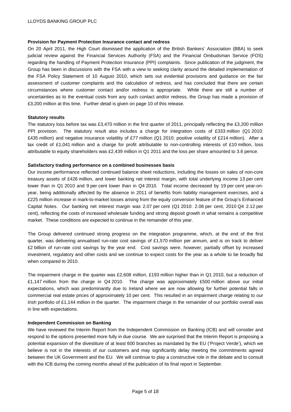#### **Provision for Payment Protection Insurance contact and redress**

On 20 April 2011, the High Court dismissed the application of the British Bankers' Association (BBA) to seek judicial review against the Financial Services Authority (FSA) and the Financial Ombudsman Service (FOS) regarding the handling of Payment Protection Insurance (PPI) complaints. Since publication of the judgment, the Group has been in discussions with the FSA with a view to seeking clarity around the detailed implementation of the FSA Policy Statement of 10 August 2010, which sets out evidential provisions and guidance on the fair assessment of customer complaints and the calculation of redress, and has concluded that there are certain circumstances where customer contact and/or redress is appropriate. While there are still a number of uncertainties as to the eventual costs from any such contact and/or redress, the Group has made a provision of £3,200 million at this time. Further detail is given on page 10 of this release.

#### **Statutory results**

The statutory loss before tax was £3,470 million in the first quarter of 2011, principally reflecting the £3,200 million PPI provision. The statutory result also includes a charge for integration costs of £333 million (Q1 2010: £435 million) and negative insurance volatility of £77 million (Q1 2010: positive volatility of £214 million). After a tax credit of £1,041 million and a charge for profit attributable to non-controlling interests of £10 million, loss attributable to equity shareholders was £2,439 million in Q1 2011 and the loss per share amounted to 3.6 pence.

#### **Satisfactory trading performance on a combined businesses basis**

Our income performance reflected continued balance sheet reductions, including the losses on sales of non-core treasury assets of £426 million, and lower banking net interest margin, with total underlying income 13 per cent lower than in Q1 2010 and 9 per cent lower than in Q4 2010. Total income decreased by 19 per cent year-onyear, being additionally affected by the absence in 2011 of benefits from liability management exercises, and a £225 million increase in mark-to-market losses arising from the equity conversion feature of the Group's Enhanced Capital Notes. Our banking net interest margin was 2.07 per cent (Q1 2010: 2.08 per cent, 2010 Q4 2.12 per cent), reflecting the costs of increased wholesale funding and strong deposit growth in what remains a competitive market. These conditions are expected to continue in the remainder of this year.

The Group delivered continued strong progress on the integration programme, which, at the end of the first quarter, was delivering annualised run-rate cost savings of £1,570 million per annum, and is on track to deliver £2 billion of run-rate cost savings by the year end. Cost savings were, however, partially offset by increased investment, regulatory and other costs and we continue to expect costs for the year as a whole to be broadly flat when compared to 2010.

The impairment charge in the quarter was £2,608 million, £193 million higher than in Q1 2010, but a reduction of £1,147 million from the charge in Q4 2010. The charge was approximately £500 million above our initial expectations, which was predominantly due to Ireland where we are now allowing for further potential falls in commercial real estate prices of approximately 10 per cent. This resulted in an impairment charge relating to our Irish portfolio of £1,144 million in the quarter. The impairment charge in the remainder of our portfolio overall was in line with expectations.

#### **Independent Commission on Banking**

We have reviewed the Interim Report from the Independent Commission on Banking (ICB) and will consider and respond to the options presented more fully in due course. We are surprised that the Interim Report is proposing a potential expansion of the divestiture of at least 600 branches as mandated by the EU ('Project Verde'), which we believe is not in the interests of our customers and may significantly delay meeting the commitments agreed between the UK Government and the EU. We will continue to play a constructive role in the debate and to consult with the ICB during the coming months ahead of the publication of its final report in September.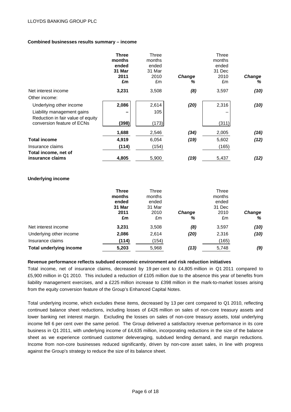# **Combined businesses results summary – income**

|                                                                 | <b>Three</b><br>months<br>ended<br>31 Mar<br>2011<br>£m | Three<br>months<br>ended<br>31 Mar<br>2010<br>£m | <b>Change</b><br>% | Three<br>months<br>ended<br>31 Dec<br>2010<br>£m | <b>Change</b><br>℅ |
|-----------------------------------------------------------------|---------------------------------------------------------|--------------------------------------------------|--------------------|--------------------------------------------------|--------------------|
| Net interest income                                             | 3,231                                                   | 3,508                                            | (8)                | 3,597                                            | (10)               |
| Other income:                                                   |                                                         |                                                  |                    |                                                  |                    |
| Underlying other income                                         | 2,086                                                   | 2,614                                            | (20)               | 2,316                                            | (10)               |
| Liability management gains                                      |                                                         | 105                                              |                    |                                                  |                    |
| Reduction in fair value of equity<br>conversion feature of ECNs | (398)                                                   | (173)                                            |                    | (311)                                            |                    |
|                                                                 | 1,688                                                   | 2,546                                            | (34)               | 2,005                                            | (16)               |
| <b>Total income</b>                                             | 4,919                                                   | 6,054                                            | (19)               | 5,602                                            | (12)               |
| Insurance claims                                                | (114)                                                   | (154)                                            |                    | (165)                                            |                    |
| Total income, net of<br>insurance claims                        | 4,805                                                   | 5,900                                            | (19)               | 5,437                                            | (12)               |

#### **Underlying income**

|                                | <b>Three</b><br>months<br>ended<br>31 Mar<br>2011<br>£m | Three<br>months<br>ended<br>31 Mar<br>2010<br>£m | <b>Change</b><br>℅ | Three<br>months<br>ended<br>31 Dec<br>2010<br>£m | <b>Change</b><br>% |
|--------------------------------|---------------------------------------------------------|--------------------------------------------------|--------------------|--------------------------------------------------|--------------------|
| Net interest income            | 3,231                                                   | 3,508                                            | (8)                | 3,597                                            | (10)               |
| Underlying other income        | 2,086                                                   | 2,614                                            | (20)               | 2,316                                            | (10)               |
| Insurance claims               | (114)                                                   | (154)                                            |                    | (165)                                            |                    |
| <b>Total underlying income</b> | 5,203                                                   | 5,968                                            | (13)               | 5,748                                            | (9)                |

#### **Revenue performance reflects subdued economic environment and risk reduction initiatives**

Total income, net of insurance claims, decreased by 19 per cent to £4,805 million in Q1 2011 compared to £5,900 million in Q1 2010. This included a reduction of £105 million due to the absence this year of benefits from liability management exercises, and a £225 million increase to £398 million in the mark-to-market losses arising from the equity conversion feature of the Group's Enhanced Capital Notes.

Total underlying income, which excludes these items, decreased by 13 per cent compared to Q1 2010, reflecting continued balance sheet reductions, including losses of £426 million on sales of non-core treasury assets and lower banking net interest margin. Excluding the losses on sales of non-core treasury assets, total underlying income fell 6 per cent over the same period. The Group delivered a satisfactory revenue performance in its core business in Q1 2011, with underlying income of £4,635 million, incorporating reductions in the size of the balance sheet as we experience continued customer deleveraging, subdued lending demand, and margin reductions. Income from non-core businesses reduced significantly, driven by non-core asset sales, in line with progress against the Group's strategy to reduce the size of its balance sheet.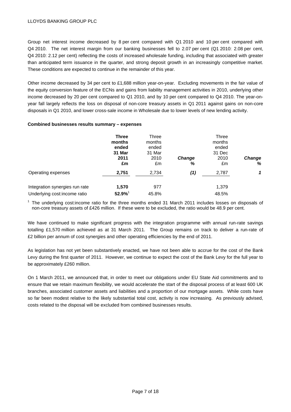Group net interest income decreased by 8 per cent compared with Q1 2010 and 10 per cent compared with Q4 2010. The net interest margin from our banking businesses fell to 2.07 per cent (Q1 2010: 2.08 per cent, Q4 2010: 2.12 per cent) reflecting the costs of increased wholesale funding, including that associated with greater than anticipated term issuance in the quarter, and strong deposit growth in an increasingly competitive market. These conditions are expected to continue in the remainder of this year.

Other income decreased by 34 per cent to £1,688 million year-on-year. Excluding movements in the fair value of the equity conversion feature of the ECNs and gains from liability management activities in 2010, underlying other income decreased by 20 per cent compared to Q1 2010, and by 10 per cent compared to Q4 2010. The year-onyear fall largely reflects the loss on disposal of non-core treasury assets in Q1 2011 against gains on non-core disposals in Q1 2010, and lower cross-sale income in Wholesale due to lower levels of new lending activity.

#### **Combined businesses results summary – expenses**

|                                | Three<br>months<br>ended<br>31 Mar | Three<br>months<br>ended<br>31 Mar |                    | Three<br>months<br>ended<br>31 Dec |                    |
|--------------------------------|------------------------------------|------------------------------------|--------------------|------------------------------------|--------------------|
|                                | 2011<br>£m                         | 2010<br>£m                         | <b>Change</b><br>% | 2010<br>£m                         | <b>Change</b><br>% |
| Operating expenses             | 2,751                              | 2,734                              | (1)                | 2,787                              | 1                  |
| Integration synergies run rate | 1,570                              | 977                                |                    | 1,379                              |                    |
| Underlying cost:income ratio   | 52.9%                              | 45.8%                              |                    | 48.5%                              |                    |

 $<sup>1</sup>$  The underlying cost:income ratio for the three months ended 31 March 2011 includes losses on disposals of</sup> non-core treasury assets of £426 million. If these were to be excluded, the ratio would be 48.9 per cent.

We have continued to make significant progress with the integration programme with annual run-rate savings totalling £1,570 million achieved as at 31 March 2011. The Group remains on track to deliver a run-rate of £2 billion per annum of cost synergies and other operating efficiencies by the end of 2011.

As legislation has not yet been substantively enacted, we have not been able to accrue for the cost of the Bank Levy during the first quarter of 2011. However, we continue to expect the cost of the Bank Levy for the full year to be approximately £260 million.

On 1 March 2011, we announced that, in order to meet our obligations under EU State Aid commitments and to ensure that we retain maximum flexibility, we would accelerate the start of the disposal process of at least 600 UK branches, associated customer assets and liabilities and a proportion of our mortgage assets. While costs have so far been modest relative to the likely substantial total cost, activity is now increasing. As previously advised, costs related to the disposal will be excluded from combined businesses results.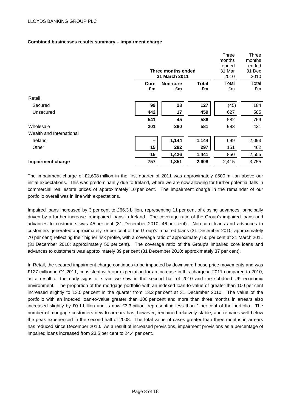# **Combined businesses results summary – impairment charge**

|                          |      |                    |              | Three  | Three  |
|--------------------------|------|--------------------|--------------|--------|--------|
|                          |      |                    |              | months | months |
|                          |      |                    |              | ended  | ended  |
|                          |      | Three months ended |              | 31 Mar | 31 Dec |
|                          |      | 31 March 2011      |              | 2010   | 2010   |
|                          | Core | Non-core           | <b>Total</b> | Total  | Total  |
|                          | £m   | £m                 | £m           | £m     | £m     |
| Retail                   |      |                    |              |        |        |
| Secured                  | 99   | 28                 | 127          | (45)   | 184    |
| Unsecured                | 442  | 17                 | 459          | 627    | 585    |
|                          | 541  | 45                 | 586          | 582    | 769    |
| Wholesale                | 201  | 380                | 581          | 983    | 431    |
| Wealth and International |      |                    |              |        |        |
| Ireland                  |      | 1,144              | 1,144        | 699    | 2,093  |
| Other                    | 15   | 282                | 297          | 151    | 462    |
|                          | 15   | 1,426              | 1,441        | 850    | 2,555  |
| <b>Impairment charge</b> | 757  | 1,851              | 2,608        | 2,415  | 3,755  |

The impairment charge of £2,608 million in the first quarter of 2011 was approximately £500 million above our initial expectations. This was predominantly due to Ireland, where we are now allowing for further potential falls in commercial real estate prices of approximately 10 per cent. The impairment charge in the remainder of our portfolio overall was in line with expectations.

Impaired loans increased by 3 per cent to £66.3 billion, representing 11 per cent of closing advances, principally driven by a further increase in impaired loans in Ireland. The coverage ratio of the Group's impaired loans and advances to customers was 45 per cent (31 December 2010: 46 per cent). Non-core loans and advances to customers generated approximately 75 per cent of the Group's impaired loans (31 December 2010: approximately 70 per cent) reflecting their higher risk profile, with a coverage ratio of approximately 50 per cent at 31 March 2011 (31 December 2010: approximately 50 per cent). The coverage ratio of the Group's impaired core loans and advances to customers was approximately 39 per cent (31 December 2010: approximately 37 per cent).

In Retail, the secured impairment charge continues to be impacted by downward house price movements and was £127 million in Q1 2011, consistent with our expectation for an increase in this charge in 2011 compared to 2010, as a result of the early signs of strain we saw in the second half of 2010 and the subdued UK economic environment. The proportion of the mortgage portfolio with an indexed loan-to-value of greater than 100 per cent increased slightly to 13.5 per cent in the quarter from 13.2 per cent at 31 December 2010. The value of the portfolio with an indexed loan-to-value greater than 100 per cent and more than three months in arrears also increased slightly by £0.1 billion and is now £3.3 billion, representing less than 1 per cent of the portfolio. The number of mortgage customers new to arrears has, however, remained relatively stable, and remains well below the peak experienced in the second half of 2008. The total value of cases greater than three months in arrears has reduced since December 2010. As a result of increased provisions, impairment provisions as a percentage of impaired loans increased from 23.5 per cent to 24.4 per cent.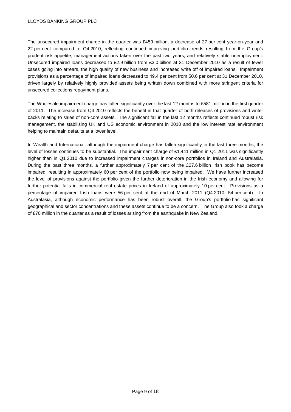The unsecured impairment charge in the quarter was £459 million, a decrease of 27 per cent year-on-year and 22 per cent compared to Q4 2010, reflecting continued improving portfolio trends resulting from the Group's prudent risk appetite, management actions taken over the past two years, and relatively stable unemployment. Unsecured impaired loans decreased to £2.9 billion from £3.0 billion at 31 December 2010 as a result of fewer cases going into arrears, the high quality of new business and increased write off of impaired loans. Impairment provisions as a percentage of impaired loans decreased to 49.4 per cent from 50.6 per cent at 31 December 2010, driven largely by relatively highly provided assets being written down combined with more stringent criteria for unsecured collections repayment plans.

The Wholesale impairment charge has fallen significantly over the last 12 months to £581 million in the first quarter of 2011. The increase from Q4 2010 reflects the benefit in that quarter of both releases of provisions and writebacks relating to sales of non-core assets. The significant fall in the last 12 months reflects continued robust risk management, the stabilising UK and US economic environment in 2010 and the low interest rate environment helping to maintain defaults at a lower level.

In Wealth and International, although the impairment charge has fallen significantly in the last three months, the level of losses continues to be substantial. The impairment charge of £1,441 million in Q1 2011 was significantly higher than in Q1 2010 due to increased impairment charges in non-core portfolios in Ireland and Australasia. During the past three months, a further approximately 7 per cent of the £27.6 billion Irish book has become impaired, resulting in approximately 60 per cent of the portfolio now being impaired. We have further increased the level of provisions against the portfolio given the further deterioration in the Irish economy and allowing for further potential falls in commercial real estate prices in Ireland of approximately 10 per cent. Provisions as a percentage of impaired Irish loans were 56 per cent at the end of March 2011 (Q4 2010: 54 per cent). In Australasia, although economic performance has been robust overall, the Group's portfolio has significant geographical and sector concentrations and these assets continue to be a concern. The Group also took a charge of £70 million in the quarter as a result of losses arising from the earthquake in New Zealand.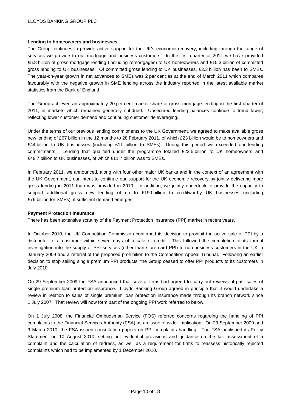# **Lending to homeowners and businesses**

The Group continues to provide active support for the UK's economic recovery, including through the range of services we provide to our mortgage and business customers. In the first quarter of 2011 we have provided £5.8 billion of gross mortgage lending (including remortgages) to UK homeowners and £10.3 billion of committed gross lending to UK businesses. Of committed gross lending to UK businesses, £3.3 billion has been to SMEs. The year-on-year growth in net advances to SMEs was 2 per cent as at the end of March 2011 which compares favourably with the negative growth in SME lending across the industry reported in the latest available market statistics from the Bank of England.

The Group achieved an approximately 20 per cent market share of gross mortgage lending in the first quarter of 2011, in markets which remained generally subdued. Unsecured lending balances continue to trend lower, reflecting lower customer demand and continuing customer deleveraging.

Under the terms of our previous lending commitments to the UK Government, we agreed to make available gross new lending of £67 billion in the 12 months to 28 February 2011, of which £23 billion would be to homeowners and £44 billion to UK businesses (including £11 billion to SMEs). During this period we exceeded our lending commitments. Lending that qualified under the programme totalled £23.5 billion to UK homeowners and £48.7 billion to UK businesses, of which £11.7 billion was to SMEs.

In February 2011, we announced, along with four other major UK banks and in the context of an agreement with the UK Government, our intent to continue our support for the UK economic recovery by jointly delivering more gross lending in 2011 than was provided in 2010. In addition, we jointly undertook to provide the capacity to support additional gross new lending of up to £190 billion to creditworthy UK businesses (including £76 billion for SMEs), if sufficient demand emerges.

# **Payment Protection Insurance**

There has been extensive scrutiny of the Payment Protection Insurance (PPI) market in recent years.

In October 2010, the UK Competition Commission confirmed its decision to prohibit the active sale of PPI by a distributor to a customer within seven days of a sale of credit. This followed the completion of its formal investigation into the supply of PPI services (other than store card PPI) to non-business customers in the UK in January 2009 and a referral of the proposed prohibition to the Competition Appeal Tribunal. Following an earlier decision to stop selling single premium PPI products, the Group ceased to offer PPI products to its customers in July 2010.

On 29 September 2009 the FSA announced that several firms had agreed to carry out reviews of past sales of single premium loan protection insurance. Lloyds Banking Group agreed in principle that it would undertake a review in relation to sales of single premium loan protection insurance made through its branch network since 1 July 2007. That review will now form part of the ongoing PPI work referred to below.

On 1 July 2008, the Financial Ombudsman Service (FOS) referred concerns regarding the handling of PPI complaints to the Financial Services Authority (FSA) as an issue of wider implication. On 29 September 2009 and 9 March 2010, the FSA issued consultation papers on PPI complaints handling. The FSA published its Policy Statement on 10 August 2010, setting out evidential provisions and guidance on the fair assessment of a complaint and the calculation of redress, as well as a requirement for firms to reassess historically rejected complaints which had to be implemented by 1 December 2010.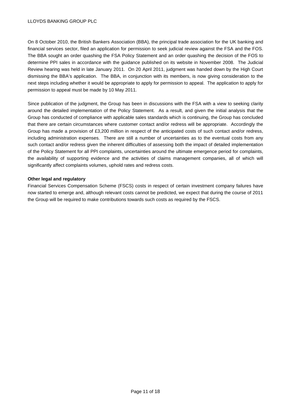On 8 October 2010, the British Bankers Association (BBA), the principal trade association for the UK banking and financial services sector, filed an application for permission to seek judicial review against the FSA and the FOS. The BBA sought an order quashing the FSA Policy Statement and an order quashing the decision of the FOS to determine PPI sales in accordance with the guidance published on its website in November 2008. The Judicial Review hearing was held in late January 2011. On 20 April 2011, judgment was handed down by the High Court dismissing the BBA's application. The BBA, in conjunction with its members, is now giving consideration to the next steps including whether it would be appropriate to apply for permission to appeal. The application to apply for permission to appeal must be made by 10 May 2011.

Since publication of the judgment, the Group has been in discussions with the FSA with a view to seeking clarity around the detailed implementation of the Policy Statement. As a result, and given the initial analysis that the Group has conducted of compliance with applicable sales standards which is continuing, the Group has concluded that there are certain circumstances where customer contact and/or redress will be appropriate. Accordingly the Group has made a provision of £3,200 million in respect of the anticipated costs of such contact and/or redress, including administration expenses. There are still a number of uncertainties as to the eventual costs from any such contact and/or redress given the inherent difficulties of assessing both the impact of detailed implementation of the Policy Statement for all PPI complaints, uncertainties around the ultimate emergence period for complaints, the availability of supporting evidence and the activities of claims management companies, all of which will significantly affect complaints volumes, uphold rates and redress costs.

# **Other legal and regulatory**

Financial Services Compensation Scheme (FSCS) costs in respect of certain investment company failures have now started to emerge and, although relevant costs cannot be predicted, we expect that during the course of 2011 the Group will be required to make contributions towards such costs as required by the FSCS.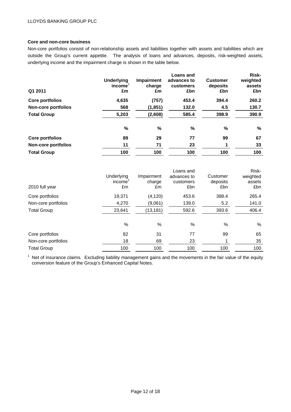# **Core and non-core business**

Non-core portfolios consist of non-relationship assets and liabilities together with assets and liabilities which are outside the Group's current appetite. The analysis of loans and advances, deposits, risk-weighted assets, underlying income and the impairment charge is shown in the table below.

| Q1 2011                    | <b>Underlying</b><br>income<br>£m | Impairment<br>charge<br>£m | Loans and<br>advances to<br>customers<br>£bn | <b>Customer</b><br>deposits<br>£bn | Risk-<br>weighted<br>assets<br>£bn |
|----------------------------|-----------------------------------|----------------------------|----------------------------------------------|------------------------------------|------------------------------------|
| Core portfolios            | 4,635                             | (757)                      | 453.4                                        | 394.4                              | 260.2                              |
| <b>Non-core portfolios</b> | 568                               | (1, 851)                   | 132.0                                        | 4.5                                | 130.7                              |
| <b>Total Group</b>         | 5,203                             | (2,608)                    | 585.4                                        | 398.9                              | 390.9                              |
|                            | %                                 | %                          | $\%$                                         | %                                  | %                                  |
| <b>Core portfolios</b>     | 89                                | 29                         | 77                                           | 99                                 | 67                                 |
| <b>Non-core portfolios</b> | 11                                | 71                         | 23                                           |                                    | 33                                 |
| <b>Total Group</b>         | 100                               | 100                        | 100                                          | 100                                | 100                                |

| 2010 full year      | Underlying<br>income<br>£m | Impairment<br>charge<br>£m | Loans and<br>advances to<br>customers<br>£bn | Customer<br>deposits<br>£bn | Risk-<br>weighted<br>assets<br>£bn |
|---------------------|----------------------------|----------------------------|----------------------------------------------|-----------------------------|------------------------------------|
| Core portfolios     | 19,371                     | (4, 120)                   | 453.6                                        | 388.4                       | 265.4                              |
| Non-core portfolios | 4,270                      | (9,061)                    | 139.0                                        | 5.2                         | 141.0                              |
| <b>Total Group</b>  | 23,641                     | (13, 181)                  | 592.6                                        | 393.6                       | 406.4                              |
|                     | %                          | %                          | %                                            | %                           | %                                  |
| Core portfolios     | 82                         | 31                         | 77                                           | 99                          | 65                                 |
| Non-core portfolios | 18                         | 69                         | 23                                           |                             | 35                                 |
| <b>Total Group</b>  | 100                        | 100                        | 100                                          | 100                         | 100                                |

 $1$  Net of insurance claims. Excluding liability management gains and the movements in the fair value of the equity conversion feature of the Group's Enhanced Capital Notes.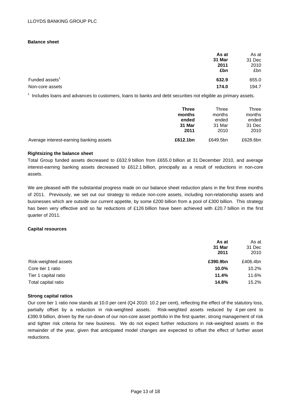#### **Balance sheet**

|                            | As at<br>31 Mar<br>2011<br>£bn | As at<br>31 Dec<br>2010<br>£bn |
|----------------------------|--------------------------------|--------------------------------|
| Funded assets <sup>1</sup> | 632.9                          | 655.0                          |
| Non-core assets            | 174.0                          | 194.7                          |

 $1$  Includes loans and advances to customers, loans to banks and debt securities not eligible as primary assets.

|                                         | <b>Three</b> | Three    | Three    |
|-----------------------------------------|--------------|----------|----------|
|                                         | months       | months   | months   |
|                                         | ended        | ended    | ended    |
|                                         | 31 Mar       | 31 Mar   | 31 Dec   |
|                                         | 2011         | 2010     | 2010     |
| Average interest-earning banking assets | £612.1bn     | £649.5bn | £628.6bn |

#### **Rightsizing the balance sheet**

Total Group funded assets decreased to £632.9 billion from £655.0 billion at 31 December 2010, and average interest-earning banking assets decreased to £612.1 billion, principally as a result of reductions in non-core assets.

We are pleased with the substantial progress made on our balance sheet reduction plans in the first three months of 2011. Previously, we set out our strategy to reduce non-core assets, including non-relationship assets and businesses which are outside our current appetite, by some £200 billion from a pool of £300 billion. This strategy has been very effective and so far reductions of £126 billion have been achieved with £20.7 billion in the first quarter of 2011.

#### **Capital resources**

|                      | As at<br>31 Mar<br>2011 | As at<br>31 Dec<br>2010 |
|----------------------|-------------------------|-------------------------|
| Risk-weighted assets | £390.9bn                | £406.4bn                |
| Core tier 1 ratio    | 10.0%                   | 10.2%                   |
| Tier 1 capital ratio | 11.4%                   | 11.6%                   |
| Total capital ratio  | 14.8%                   | 15.2%                   |

#### **Strong capital ratios**

Our core tier 1 ratio now stands at 10.0 per cent (Q4 2010: 10.2 per cent), reflecting the effect of the statutory loss, partially offset by a reduction in risk-weighted assets. Risk-weighted assets reduced by 4 per cent to £390.9 billion, driven by the run-down of our non-core asset portfolio in the first quarter, strong management of risk and tighter risk criteria for new business. We do not expect further reductions in risk-weighted assets in the remainder of the year, given that anticipated model changes are expected to offset the effect of further asset reductions.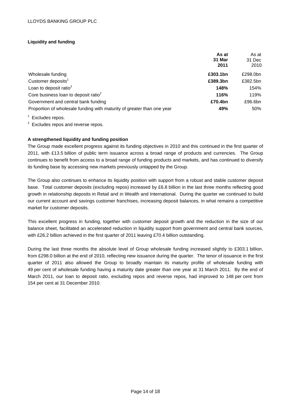# **Liquidity and funding**

|                                                                        | As at<br>31 Mar<br>2011 | As at<br>31 Dec<br>2010 |
|------------------------------------------------------------------------|-------------------------|-------------------------|
| Wholesale funding                                                      | £303.1bn                | £298.0bn                |
| Customer deposits <sup>1</sup>                                         | £389.3bn                | £382.5bn                |
| Loan to deposit ratio <sup>2</sup>                                     | 148%                    | 154%                    |
| Core business loan to deposit ratio <sup>2</sup>                       | 116%                    | 119%                    |
| Government and central bank funding                                    | £70.4bn                 | £96.6bn                 |
| Proportion of wholesale funding with maturity of greater than one year | 49%                     | 50%                     |

 $1$  Excludes repos.

<sup>2</sup> Excludes repos and reverse repos.

# **A strengthened liquidity and funding position**

The Group made excellent progress against its funding objectives in 2010 and this continued in the first quarter of 2011, with £13.5 billion of public term issuance across a broad range of products and currencies. The Group continues to benefit from access to a broad range of funding products and markets, and has continued to diversify its funding base by accessing new markets previously untapped by the Group.

The Group also continues to enhance its liquidity position with support from a robust and stable customer deposit base. Total customer deposits (excluding repos) increased by £6.8 billion in the last three months reflecting good growth in relationship deposits in Retail and in Wealth and International. During the quarter we continued to build our current account and savings customer franchises, increasing deposit balances, in what remains a competitive market for customer deposits.

This excellent progress in funding, together with customer deposit growth and the reduction in the size of our balance sheet, facilitated an accelerated reduction in liquidity support from government and central bank sources, with £26.2 billion achieved in the first quarter of 2011 leaving £70.4 billion outstanding.

During the last three months the absolute level of Group wholesale funding increased slightly to £303.1 billion, from £298.0 billion at the end of 2010, reflecting new issuance during the quarter. The tenor of issuance in the first quarter of 2011 also allowed the Group to broadly maintain its maturity profile of wholesale funding with 49 per cent of wholesale funding having a maturity date greater than one year at 31 March 2011. By the end of March 2011, our loan to deposit ratio, excluding repos and reverse repos, had improved to 148 per cent from 154 per cent at 31 December 2010.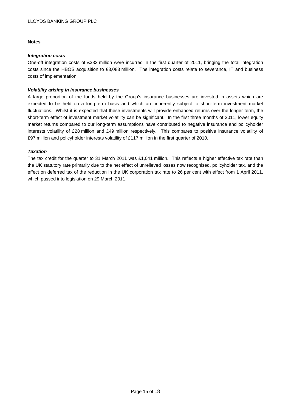# **Notes**

#### *Integration costs*

One-off integration costs of £333 million were incurred in the first quarter of 2011, bringing the total integration costs since the HBOS acquisition to £3,083 million. The integration costs relate to severance, IT and business costs of implementation.

#### *Volatility arising in insurance businesses*

A large proportion of the funds held by the Group's insurance businesses are invested in assets which are expected to be held on a long-term basis and which are inherently subject to short-term investment market fluctuations. Whilst it is expected that these investments will provide enhanced returns over the longer term, the short-term effect of investment market volatility can be significant. In the first three months of 2011, lower equity market returns compared to our long-term assumptions have contributed to negative insurance and policyholder interests volatility of £28 million and £49 million respectively. This compares to positive insurance volatility of £97 million and policyholder interests volatility of £117 million in the first quarter of 2010.

#### *Taxation*

The tax credit for the quarter to 31 March 2011 was £1,041 million. This reflects a higher effective tax rate than the UK statutory rate primarily due to the net effect of unrelieved losses now recognised, policyholder tax, and the effect on deferred tax of the reduction in the UK corporation tax rate to 26 per cent with effect from 1 April 2011, which passed into legislation on 29 March 2011.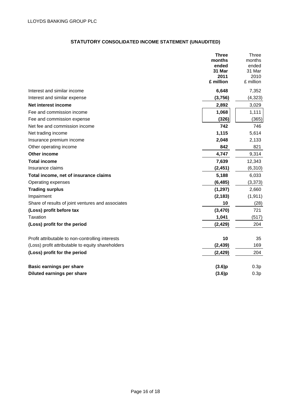# **STATUTORY CONSOLIDATED INCOME STATEMENT (UNAUDITED)**

|                                                   | <b>Three</b><br>months<br>ended<br>31 Mar<br>2011<br>£ million | Three<br>months<br>ended<br>31 Mar<br>2010<br>£ million |
|---------------------------------------------------|----------------------------------------------------------------|---------------------------------------------------------|
| Interest and similar income                       | 6,648                                                          | 7,352                                                   |
| Interest and similar expense                      | (3,756)                                                        | (4, 323)                                                |
| Net interest income                               | 2,892                                                          | 3,029                                                   |
| Fee and commission income                         | 1,068                                                          | 1,111                                                   |
| Fee and commission expense                        | (326)                                                          | (365)                                                   |
| Net fee and commission income                     | 742                                                            | 746                                                     |
| Net trading income                                | 1,115                                                          | 5,614                                                   |
| Insurance premium income                          | 2,048                                                          | 2,133                                                   |
| Other operating income                            | 842                                                            | 821                                                     |
| Other income                                      | 4,747                                                          | 9,314                                                   |
| <b>Total income</b>                               | 7,639                                                          | 12,343                                                  |
| Insurance claims                                  | (2, 451)                                                       | (6, 310)                                                |
| Total income, net of insurance claims             | 5,188                                                          | 6,033                                                   |
| Operating expenses                                | (6, 485)                                                       | (3,373)                                                 |
| <b>Trading surplus</b>                            | (1, 297)                                                       | 2,660                                                   |
| Impairment                                        | (2, 183)                                                       | (1, 911)                                                |
| Share of results of joint ventures and associates | 10                                                             | (28)                                                    |
| (Loss) profit before tax                          | (3,470)                                                        | 721                                                     |
| <b>Taxation</b>                                   | 1,041                                                          | (517)                                                   |
| (Loss) profit for the period                      | (2, 429)                                                       | 204                                                     |
| Profit attributable to non-controlling interests  | 10                                                             | 35                                                      |
| (Loss) profit attributable to equity shareholders | (2, 439)                                                       | 169                                                     |
| (Loss) profit for the period                      | (2, 429)                                                       | 204                                                     |
| <b>Basic earnings per share</b>                   | (3.6)p                                                         | 0.3p                                                    |
| Diluted earnings per share                        | (3.6)p                                                         | 0.3p                                                    |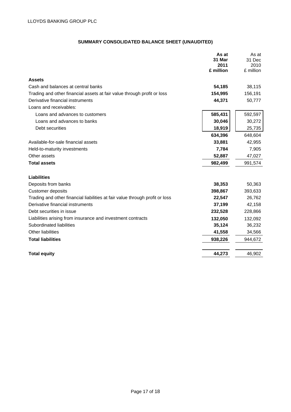# **SUMMARY CONSOLIDATED BALANCE SHEET (UNAUDITED)**

|                                                                              | As at<br>31 Mar   | As at<br>31 Dec   |
|------------------------------------------------------------------------------|-------------------|-------------------|
|                                                                              | 2011<br>£ million | 2010<br>£ million |
|                                                                              |                   |                   |
| <b>Assets</b>                                                                |                   |                   |
| Cash and balances at central banks                                           | 54,185            | 38,115            |
| Trading and other financial assets at fair value through profit or loss      | 154,995           | 156,191           |
| Derivative financial instruments                                             | 44,371            | 50,777            |
| Loans and receivables:                                                       |                   |                   |
| Loans and advances to customers                                              | 585,431           | 592,597           |
| Loans and advances to banks                                                  | 30,046            | 30,272            |
| Debt securities                                                              | 18,919            | 25,735            |
|                                                                              | 634,396           | 648,604           |
| Available-for-sale financial assets                                          | 33,881            | 42,955            |
| Held-to-maturity investments                                                 | 7,784             | 7,905             |
| Other assets                                                                 | 52,887            | 47,027            |
| <b>Total assets</b>                                                          | 982,499           | 991,574           |
| <b>Liabilities</b>                                                           |                   |                   |
| Deposits from banks                                                          | 38,353            | 50,363            |
| Customer deposits                                                            | 398,867           | 393,633           |
| Trading and other financial liabilities at fair value through profit or loss | 22,547            | 26,762            |
| Derivative financial instruments                                             | 37,199            | 42,158            |
| Debt securities in issue                                                     | 232,528           | 228,866           |
| Liabilities arising from insurance and investment contracts                  | 132,050           | 132,092           |
| Subordinated liabilities                                                     | 35,124            | 36,232            |
| Other liabilities                                                            | 41,558            | 34,566            |
| <b>Total liabilities</b>                                                     | 938,226           | 944,672           |
|                                                                              |                   |                   |
| <b>Total equity</b>                                                          | 44,273            | 46,902            |